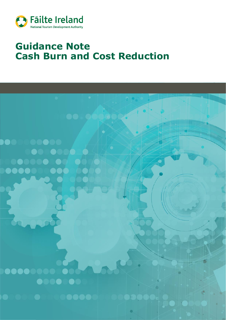

# **Guidance Note Cash Burn and Cost Reduction**

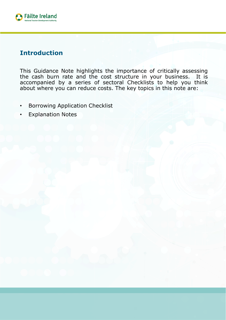

# **Introduction**

This Guidance Note highlights the importance of critically assessing the cash burn rate and the cost structure in your business. It is accompanied by a series of sectoral Checklists to help you think about where you can reduce costs. The key topics in this note are:

- Borrowing Application Checklist
- **Explanation Notes**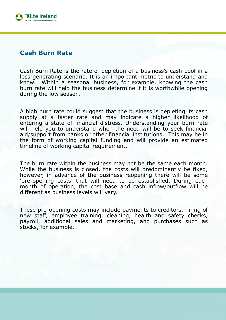

#### **Cash Burn Rate**

Cash Burn Rate is the rate of depletion of a business's cash pool in a loss-generating scenario. It is an important metric to understand and know. Within a seasonal business, for example, knowing the cash burn rate will help the business determine if it is worthwhile opening during the low season.

A high burn rate could suggest that the business is depleting its cash supply at a faster rate and may indicate a higher likelihood of entering a state of financial distress. Understanding your burn rate will help you to understand when the need will be to seek financial aid/support from banks or other financial institutions. This may be in the form of working capital funding and will provide an estimated timeline of working capital requirement.

The burn rate within the business may not be the same each month. While the business is closed, the costs will predominantly be fixed, however, in advance of the business reopening there will be some 'pre-opening costs' that will need to be established. During each month of operation, the cost base and cash inflow/outflow will be different as business levels will vary.

These pre-opening costs may include payments to creditors, hiring of new staff, employee training, cleaning, health and safety checks, payroll, additional sales and marketing, and purchases such as stocks, for example.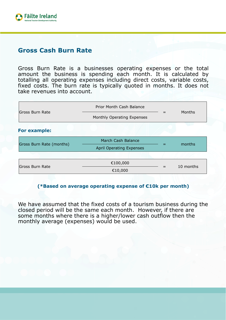

## **Gross Cash Burn Rate**

Gross Burn Rate is a businesses operating expenses or the total amount the business is spending each month. It is calculated by totalling all operating expenses including direct costs, variable costs, fixed costs. The burn rate is typically quoted in months. It does not take revenues into account.

| Gross Burn Rate<br>Months                      |           |
|------------------------------------------------|-----------|
| Monthly Operating Expenses                     |           |
| For example:                                   |           |
| March Cash Balance<br>Gross Burn Rate (months) | months    |
| <b>April Operating Expenses</b>                |           |
|                                                |           |
| €100,000                                       | 10 months |
| Gross Burn Rate<br>€10,000                     |           |

#### **(\*Based on average operating expense of €10k per month)**

We have assumed that the fixed costs of a tourism business during the closed period will be the same each month. However, if there are some months where there is a higher/lower cash outflow then the monthly average (expenses) would be used.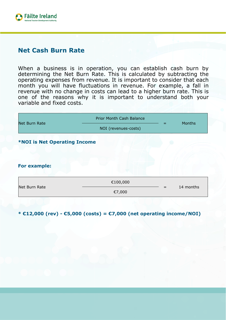

### **Net Cash Burn Rate**

When a business is in operation, you can establish cash burn by determining the Net Burn Rate. This is calculated by subtracting the operating expenses from revenue. It is important to consider that each month you will have fluctuations in revenue. For example, a fall in revenue with no change in costs can lead to a higher burn rate. This is one of the reasons why it is important to understand both your variable and fixed costs.

| Net Burn Rate                       | Prior Month Cash Balance<br>NOI (revenues-costs) | <b>Months</b> |
|-------------------------------------|--------------------------------------------------|---------------|
| <b>*NOI is Net Operating Income</b> |                                                  |               |
| <b>For example:</b>                 |                                                  |               |
| Net Burn Rate                       | €100,000<br>€7,000                               | 14 months     |

**\* €12,000 (rev) - €5,000 (costs) = €7,000 (net operating income/NOI)**